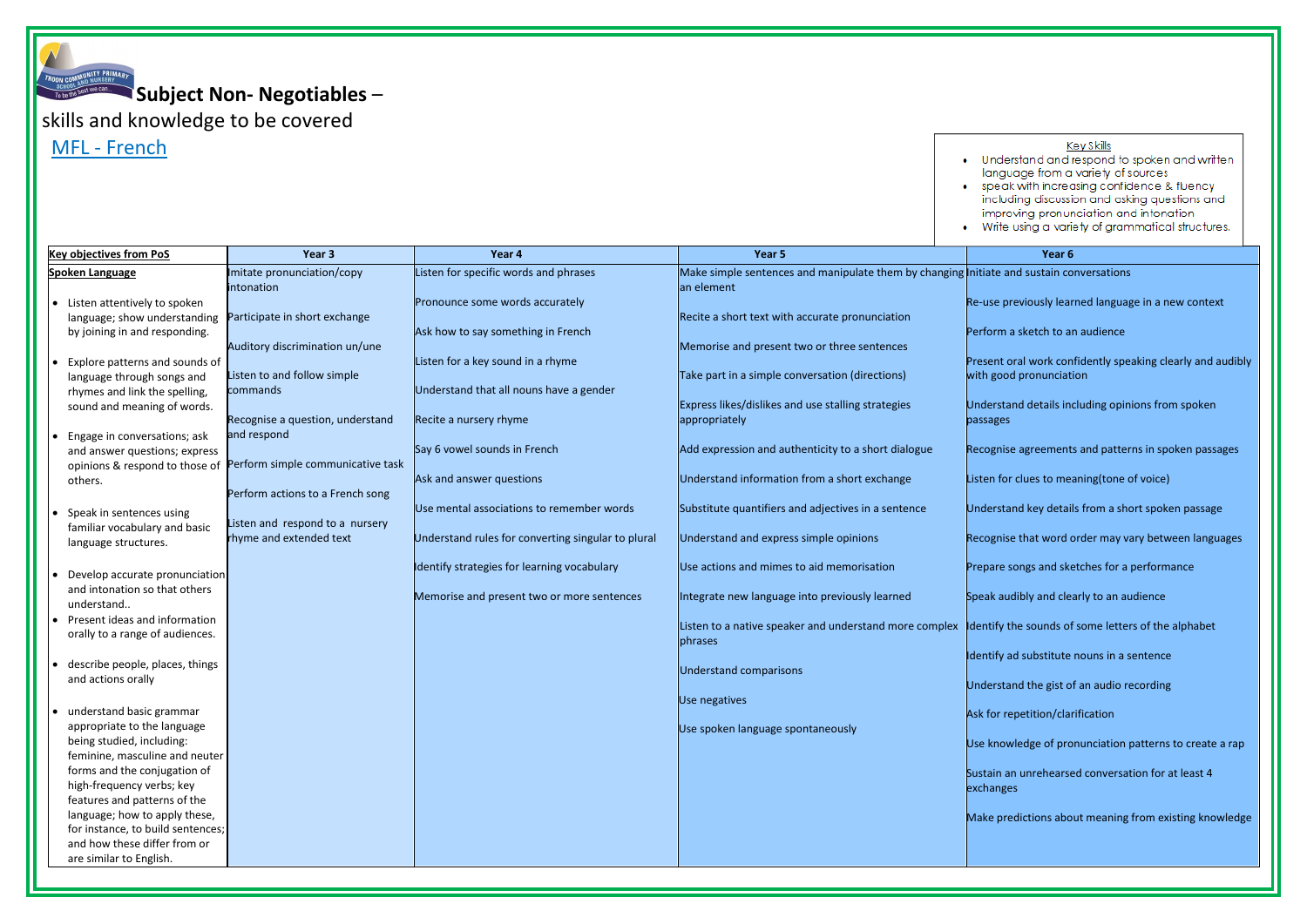**Subject Non- Negotiables** –

skills and knowledge to be covered

MFL - French

| <b>Key objectives from PoS</b>                                                                                                | Year 3                                                                    | Year 4                                                                                          | Year 5                                                                                              | Year <sub>6</sub>                               |
|-------------------------------------------------------------------------------------------------------------------------------|---------------------------------------------------------------------------|-------------------------------------------------------------------------------------------------|-----------------------------------------------------------------------------------------------------|-------------------------------------------------|
| <b>Spoken Language</b>                                                                                                        | Imitate pronunciation/copy<br>intonation                                  | Listen for specific words and phrases                                                           | Make simple sentences and manipulate them by changing Initiate and sustain co<br>an element         |                                                 |
| Listen attentively to spoken<br>language; show understanding<br>by joining in and responding.                                 | Participate in short exchange                                             | Pronounce some words accurately<br>Ask how to say something in French                           | Recite a short text with accurate pronunciation                                                     | Re-use previously lear<br>Perform a sketch to a |
| Explore patterns and sounds of<br>language through songs and                                                                  | Auditory discrimination un/une<br>Listen to and follow simple<br>commands | Listen for a key sound in a rhyme<br>Understand that all nouns have a gender                    | Memorise and present two or three sentences<br>Take part in a simple conversation (directions)      | Present oral work con<br>with good pronunciat   |
| rhymes and link the spelling,<br>sound and meaning of words.<br>Engage in conversations; ask                                  | Recognise a question, understand<br>and respond                           | Recite a nursery rhyme                                                                          | Express likes/dislikes and use stalling strategies<br>appropriately                                 | Understand details in<br>passages               |
| and answer questions; express<br>opinions & respond to those of<br>others.                                                    | Perform simple communicative task<br>Perform actions to a French song     | Say 6 vowel sounds in French<br>Ask and answer questions                                        | Add expression and authenticity to a short dialogue<br>Understand information from a short exchange | Recognise agreement<br>Listen for clues to me   |
| Speak in sentences using<br>familiar vocabulary and basic<br>language structures.                                             | Listen and respond to a nursery<br>rhyme and extended text                | Use mental associations to remember words<br>Understand rules for converting singular to plural | Substitute quantifiers and adjectives in a sentence<br>Understand and express simple opinions       | Understand key detai<br>Recognise that word o   |
| Develop accurate pronunciation<br>and intonation so that others                                                               |                                                                           | Identify strategies for learning vocabulary<br>Memorise and present two or more sentences       | Use actions and mimes to aid memorisation<br>Integrate new language into previously learned         | Prepare songs and ske<br>Speak audibly and cle  |
| understand<br>Present ideas and information<br>orally to a range of audiences.                                                |                                                                           |                                                                                                 | Listen to a native speaker and understand more complex<br>phrases                                   | Identify the sounds of                          |
| describe people, places, things<br>and actions orally                                                                         |                                                                           |                                                                                                 | <b>Understand comparisons</b>                                                                       | Identify ad substitute<br>Understand the gist o |
| understand basic grammar<br>appropriate to the language<br>being studied, including:<br>feminine, masculine and neuter        |                                                                           |                                                                                                 | Use negatives<br>Use spoken language spontaneously                                                  | Ask for repetition/clai<br>Use knowledge of pro |
| forms and the conjugation of<br>high-frequency verbs; key<br>features and patterns of the                                     |                                                                           |                                                                                                 |                                                                                                     | Sustain an unrehearse<br>exchanges              |
| language; how to apply these,<br>for instance, to build sentences;<br>and how these differ from or<br>are similar to English. |                                                                           |                                                                                                 |                                                                                                     | Make predictions abo                            |

### Key Skills

. Understand and respond to spoken and written language from a variety of sources • speak with increasing confidence & fluency including discussion and asking questions and improving pronunciation and intonation . Write using a variety of grammatical structures.

- Ite and sustain conversations
- se previously learned language in a new context
- Irm a sketch to an audience
- ent oral work confidently speaking clearly and audibly good pronunciation
- erstand details including opinions from spoken ages
- gnise agreements and patterns in spoken passages
- n for clues to meaning(tone of voice)
- erstand key details from a short spoken passage
- gnise that word order may vary between languages
- are songs and sketches for a performance
- k audibly and clearly to an audience
- tify the sounds of some letters of the alphabet
- Ify ad substitute nouns in a sentence
- erstand the gist of an audio recording
- for repetition/clarification
- knowledge of pronunciation patterns to create a rap
- ain an unrehearsed conversation for at least  $4$ anges
- I predictions about meaning from existing knowledge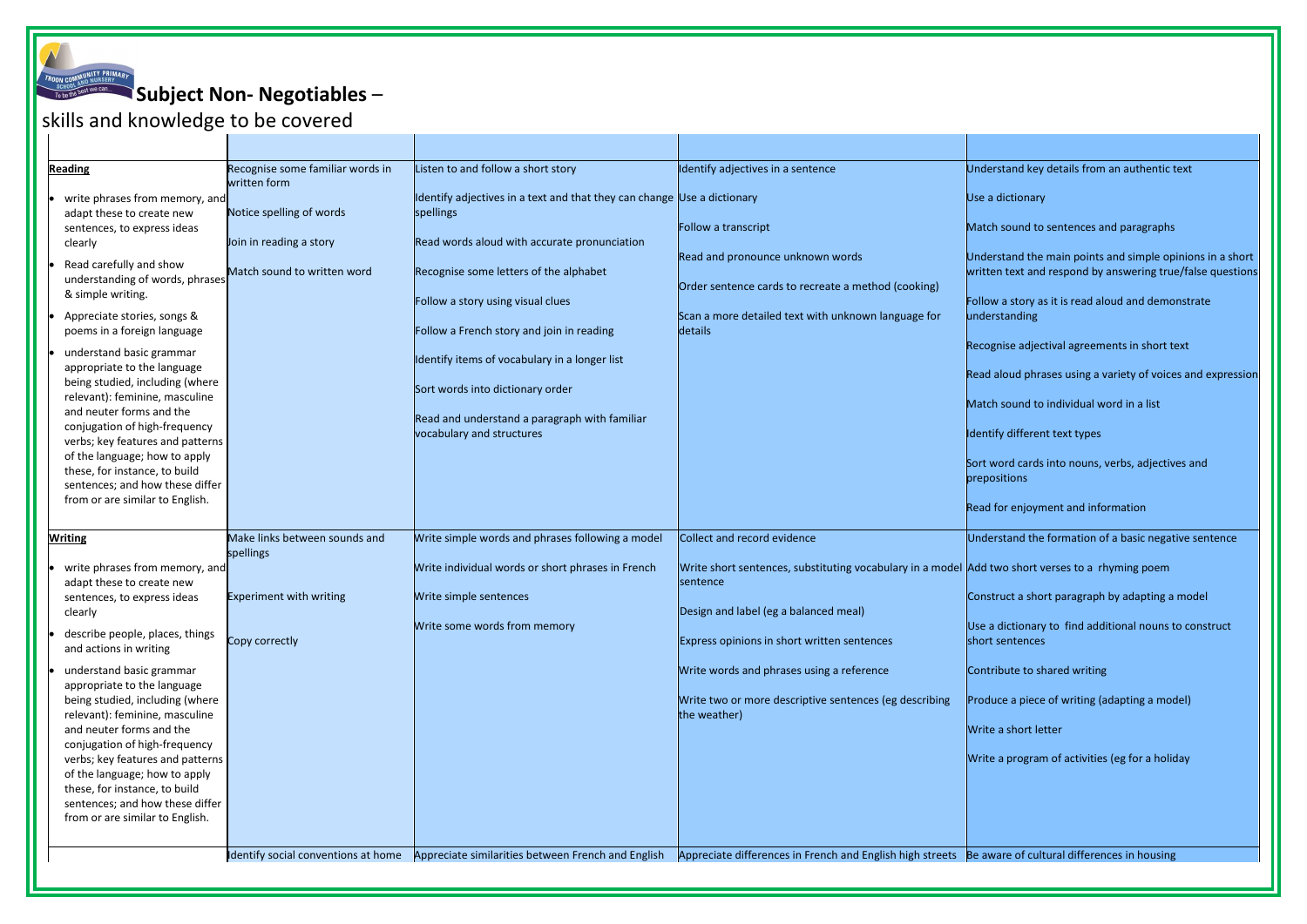**Subject Non- Negotiables** –

## skills and knowledge to be covered

| <b>Reading</b>                                                                                                                                                                                                                                                                                                                                                                                                                                                                                                           | Recognise some familiar words in<br>written form                                   | Listen to and follow a short story                                                                                                                                                                                                                                                                                                                                                                                                  | Identify adjectives in a sentence                                                                                                                                                                              | Und                                                                               |
|--------------------------------------------------------------------------------------------------------------------------------------------------------------------------------------------------------------------------------------------------------------------------------------------------------------------------------------------------------------------------------------------------------------------------------------------------------------------------------------------------------------------------|------------------------------------------------------------------------------------|-------------------------------------------------------------------------------------------------------------------------------------------------------------------------------------------------------------------------------------------------------------------------------------------------------------------------------------------------------------------------------------------------------------------------------------|----------------------------------------------------------------------------------------------------------------------------------------------------------------------------------------------------------------|-----------------------------------------------------------------------------------|
| write phrases from memory, and<br>adapt these to create new<br>sentences, to express ideas<br>clearly<br>Read carefully and show<br>understanding of words, phrases<br>& simple writing.<br>Appreciate stories, songs &<br>poems in a foreign language<br>understand basic grammar<br>appropriate to the language<br>being studied, including (where<br>relevant): feminine, masculine<br>and neuter forms and the<br>conjugation of high-frequency<br>verbs; key features and patterns<br>of the language; how to apply | Notice spelling of words<br>Join in reading a story<br>Match sound to written word | Identify adjectives in a text and that they can change Use a dictionary<br>spellings<br>Read words aloud with accurate pronunciation<br>Recognise some letters of the alphabet<br>Follow a story using visual clues<br>Follow a French story and join in reading<br>Identify items of vocabulary in a longer list<br>Sort words into dictionary order<br>Read and understand a paragraph with familiar<br>vocabulary and structures | Follow a transcript<br>Read and pronounce unknown words<br>Order sentence cards to recreate a method (cooking)<br>Scan a more detailed text with unknown language for<br>details                               | Use<br>Mat<br>Und<br>writt<br>Follo<br>und<br>Recc<br>Read<br>Mat<br>Iden<br>Sort |
| these, for instance, to build<br>sentences; and how these differ<br>from or are similar to English.<br><b>Writing</b>                                                                                                                                                                                                                                                                                                                                                                                                    | Make links between sounds and                                                      | Write simple words and phrases following a model                                                                                                                                                                                                                                                                                                                                                                                    | <b>Collect and record evidence</b>                                                                                                                                                                             | prep<br>Read<br>Und                                                               |
| write phrases from memory, and<br>adapt these to create new<br>sentences, to express ideas<br>clearly<br>describe people, places, things<br>and actions in writing<br>understand basic grammar                                                                                                                                                                                                                                                                                                                           | spellings<br><b>Experiment with writing</b><br>Copy correctly                      | Write individual words or short phrases in French<br>Write simple sentences<br>Write some words from memory                                                                                                                                                                                                                                                                                                                         | Write short sentences, substituting vocabulary in a model Add<br>sentence<br>Design and label (eg a balanced meal)<br>Express opinions in short written sentences<br>Write words and phrases using a reference | Con:<br>Use<br>shor<br>Con                                                        |
| appropriate to the language<br>being studied, including (where<br>relevant): feminine, masculine<br>and neuter forms and the<br>conjugation of high-frequency<br>verbs; key features and patterns<br>of the language; how to apply<br>these, for instance, to build<br>sentences; and how these differ<br>from or are similar to English.                                                                                                                                                                                |                                                                                    |                                                                                                                                                                                                                                                                                                                                                                                                                                     | Write two or more descriptive sentences (eg describing<br>the weather)                                                                                                                                         | <b>Prod</b><br>Writ<br>Writ                                                       |
|                                                                                                                                                                                                                                                                                                                                                                                                                                                                                                                          | Identify social conventions at home                                                | Appreciate similarities between French and English                                                                                                                                                                                                                                                                                                                                                                                  | Appreciate differences in French and English high streets Be a                                                                                                                                                 |                                                                                   |

erstand key details from an authentic text

- a dictionary
- ch sound to sentences and paragraphs
- erstand the main points and simple opinions in a short ten text and respond by answering true/false questions
- w a story as it is read aloud and demonstrate erstanding
- gnise adjectival agreements in short text
- d aloud phrases using a variety of voices and expression
- ch sound to individual word in a list
- tify different text types
- word cards into nouns, verbs, adjectives and ositions
- I for enjoyment and information
- erstand the formation of a basic negative sentence
- two short verses to a rhyming poem
- struct a short paragraph by adapting a model
- a dictionary to find additional nouns to construct t sentences
- tribute to shared writing
- duce a piece of writing (adapting a model)
- e a short letter
- te a program of activities (eg for a holiday

Ware of cultural differences in housing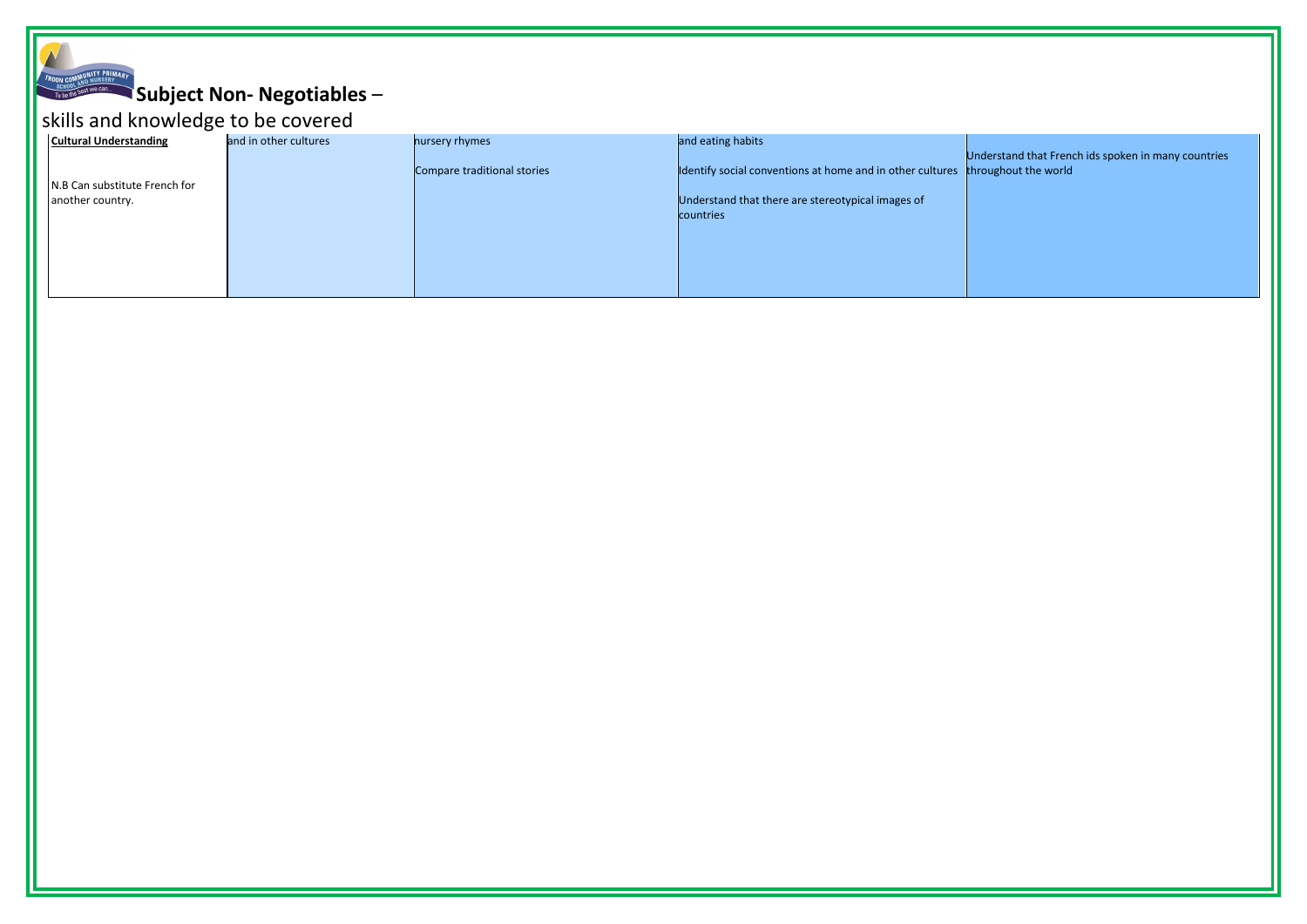# **Subject Non- Negotiables** –

# skills and knowledge to be covered

| <b>Cultural Understanding</b> | and in other cultures | nursery rhymes              | and eating habits                                         |                     |
|-------------------------------|-----------------------|-----------------------------|-----------------------------------------------------------|---------------------|
|                               |                       | Compare traditional stories | Identify social conventions at home and in other cultures | <b>Unde</b><br>thro |
| N.B Can substitute French for |                       |                             |                                                           |                     |
| another country.              |                       |                             | Understand that there are stereotypical images of         |                     |
|                               |                       |                             | countries                                                 |                     |
|                               |                       |                             |                                                           |                     |
|                               |                       |                             |                                                           |                     |
|                               |                       |                             |                                                           |                     |
|                               |                       |                             |                                                           |                     |

Understand that French ids spoken in many countries throughout the world